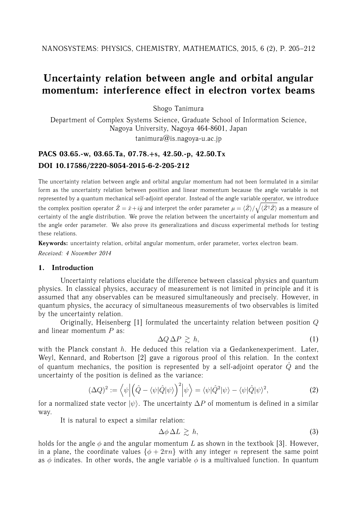# **Uncertainty relation between angle and orbital angular momentum: interference effect in electron vortex beams**

Shogo Tanimura

Department of Complex Systems Science, Graduate School of Information Science, Nagoya University, Nagoya 464-8601, Japan  $t$ animura $@$ is.nagoya-u.ac.jp

# **PACS 03.65.-w, 03.65.Ta, 07.78.+s, 42.50.-p, 42.50.Tx DOI 10.17586/2220-8054-2015-6-2-205-212**

The uncertainty relation between angle and orbital angular momentum had not been formulated in a similar form as the uncertainty relation between position and linear momentum because the angle variable is not represented by a quantum mechanical self-adjoint operator. Instead of the angle variable operator, we introduce the complex position operator  $\hat{Z}=\hat{x}+i\hat{y}$  and interpret the order parameter  $\mu=\langle\hat{Z}\rangle/\sqrt{\langle\hat{Z}^\dagger\hat{Z}\rangle}$  as a measure of certainty of the angle distribution. We prove the relation between the uncertainty of angular momentum and the angle order parameter. We also prove its generalizations and discuss experimental methods for testing these relations.

**Keywords:** uncertainty relation, orbital angular momentum, order parameter, vortex electron beam. *Received: 4 November 2014*

#### **1. Introduction**

Uncertainty relations elucidate the difference between classical physics and quantum physics. In classical physics, accuracy of measurement is not limited in principle and it is assumed that any observables can be measured simultaneously and precisely. However, in quantum physics, the accuracy of simultaneous measurements of two observables is limited by the uncertainty relation.

Originally, Heisenberg [1] formulated the uncertainty relation between position Q and linear momentum  $P$  as:

$$
\Delta Q \, \Delta P \, \gtrsim \, h,\tag{1}
$$

with the Planck constant  $h$ . He deduced this relation via a Gedankenexperiment. Later, Weyl, Kennard, and Robertson [2] gave a rigorous proof of this relation. In the context of quantum mechanics, the position is represented by a self-adjoint operator  $\hat{Q}$  and the uncertainty of the position is defined as the variance:

$$
(\Delta Q)^2 := \left\langle \psi \left| \left( \hat{Q} - \langle \psi | \hat{Q} | \psi \rangle \right)^2 \right| \psi \right\rangle = \left\langle \psi | \hat{Q}^2 | \psi \rangle - \langle \psi | \hat{Q} | \psi \rangle^2 \right\rangle,\tag{2}
$$

for a normalized state vector  $|\psi\rangle$ . The uncertainty  $\Delta P$  of momentum is defined in a similar way.

It is natural to expect a similar relation:

$$
\Delta \phi \, \Delta L \, \gtrsim \, h,\tag{3}
$$

holds for the angle  $\phi$  and the angular momentum L as shown in the textbook [3]. However, in a plane, the coordinate values  $\{\phi + 2\pi n\}$  with any integer *n* represent the same point as  $\phi$  indicates. In other words, the angle variable  $\phi$  is a multivalued function. In quantum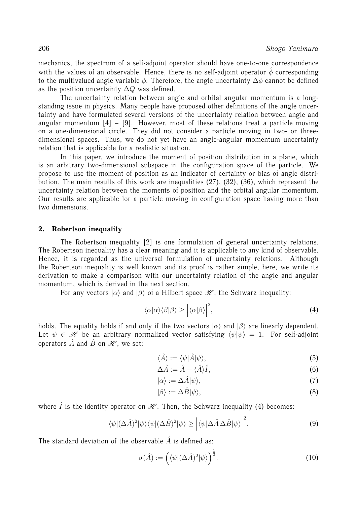mechanics, the spectrum of a self-adjoint operator should have one-to-one correspondence with the values of an observable. Hence, there is no self-adjoint operator  $\hat{\phi}$  corresponding to the multivalued angle variable  $\phi$ . Therefore, the angle uncertainty  $\Delta\phi$  cannot be defined as the position uncertainty  $\Delta Q$  was defined.

The uncertainty relation between angle and orbital angular momentum is a longstanding issue in physics. Many people have proposed other definitions of the angle uncertainty and have formulated several versions of the uncertainty relation between angle and angular momentum  $[4] - [9]$ . However, most of these relations treat a particle moving on a one-dimensional circle. They did not consider a particle moving in two- or threedimensional spaces. Thus, we do not yet have an angle-angular momentum uncertainty relation that is applicable for a realistic situation.

In this paper, we introduce the moment of position distribution in a plane, which is an arbitrary two-dimensional subspace in the configuration space of the particle. We propose to use the moment of position as an indicator of certainty or bias of angle distribution. The main results of this work are inequalities (27), (32), (36), which represent the uncertainty relation between the moments of position and the orbital angular momentum. Our results are applicable for a particle moving in configuration space having more than two dimensions.

# **2. Robertson inequality**

The Robertson inequality [2] is one formulation of general uncertainty relations. The Robertson inequality has a clear meaning and it is applicable to any kind of observable. Hence, it is regarded as the universal formulation of uncertainty relations. Although the Robertson inequality is well known and its proof is rather simple, here, we write its derivation to make a comparison with our uncertainty relation of the angle and angular momentum, which is derived in the next section.

For any vectors  $|\alpha\rangle$  and  $|\beta\rangle$  of a Hilbert space  $\mathcal{H}$ , the Schwarz inequality:

$$
\langle \alpha | \alpha \rangle \langle \beta | \beta \rangle \ge \left| \langle \alpha | \beta \rangle \right|^2, \tag{4}
$$

holds. The equality holds if and only if the two vectors  $|\alpha\rangle$  and  $|\beta\rangle$  are linearly dependent. Let  $\psi \in \mathcal{H}$  be an arbitrary normalized vector satisfying  $\langle \psi | \psi \rangle = 1$ . For self-adjoint operators  $\hat{A}$  and  $\hat{B}$  on  $\mathscr{H}$ , we set:

$$
\langle \hat{A} \rangle := \langle \psi | \hat{A} | \psi \rangle,\tag{5}
$$

$$
\Delta \hat{A} := \hat{A} - \langle \hat{A} \rangle \hat{I},\tag{6}
$$

$$
|\alpha\rangle := \Delta \hat{A} |\psi\rangle,\tag{7}
$$

$$
|\beta\rangle := \Delta \hat{B} |\psi\rangle,\tag{8}
$$

where  $\hat{I}$  is the identity operator on  $\mathcal{H}$ . Then, the Schwarz inequality (4) becomes:

$$
\langle \psi | (\Delta \hat{A})^2 | \psi \rangle \langle \psi | (\Delta \hat{B})^2 | \psi \rangle \ge \left| \langle \psi | \Delta \hat{A} \Delta \hat{B} | \psi \rangle \right|^2. \tag{9}
$$

The standard deviation of the observable  $\hat{A}$  is defined as:

$$
\sigma(\hat{A}) := \left( \langle \psi | (\Delta \hat{A})^2 | \psi \rangle \right)^{\frac{1}{2}}.
$$
\n(10)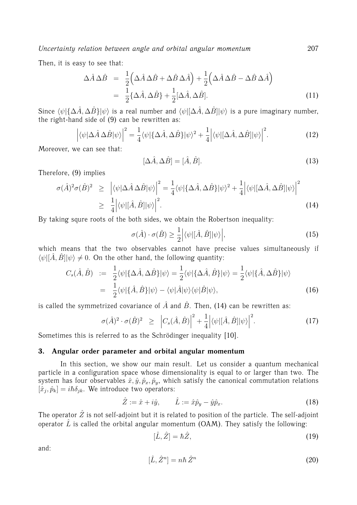Then, it is easy to see that:

$$
\Delta \hat{A} \Delta \hat{B} = \frac{1}{2} \left( \Delta \hat{A} \Delta \hat{B} + \Delta \hat{B} \Delta \hat{A} \right) + \frac{1}{2} \left( \Delta \hat{A} \Delta \hat{B} - \Delta \hat{B} \Delta \hat{A} \right)
$$
  
= 
$$
\frac{1}{2} \{ \Delta \hat{A}, \Delta \hat{B} \} + \frac{1}{2} [\Delta \hat{A}, \Delta \hat{B}].
$$
 (11)

Since  $\langle \psi | {\Delta \hat{A}, \Delta \hat{B}} | \psi \rangle$  is a real number and  $\langle \psi | {\Delta \hat{A}, \Delta \hat{B}} | \psi \rangle$  is a pure imaginary number, the right-hand side of (9) can be rewritten as:

$$
\left| \langle \psi | \Delta \hat{A} \Delta \hat{B} | \psi \rangle \right|^2 = \frac{1}{4} \langle \psi | \{ \Delta \hat{A}, \Delta \hat{B} \} | \psi \rangle^2 + \frac{1}{4} \left| \langle \psi | [\Delta \hat{A}, \Delta \hat{B}] | \psi \rangle \right|^2.
$$
 (12)

Moreover, we can see that:

$$
[\Delta \hat{A}, \Delta \hat{B}] = [\hat{A}, \hat{B}]. \tag{13}
$$

Therefore, (9) implies

$$
\sigma(\hat{A})^2 \sigma(\hat{B})^2 \geq \left| \langle \psi | \Delta \hat{A} \Delta \hat{B} | \psi \rangle \right|^2 = \frac{1}{4} \langle \psi | \{ \Delta \hat{A}, \Delta \hat{B} \} | \psi \rangle^2 + \frac{1}{4} \left| \langle \psi | [\Delta \hat{A}, \Delta \hat{B}] | \psi \rangle \right|^2
$$
  
 
$$
\geq \frac{1}{4} \left| \langle \psi | [\hat{A}, \hat{B}] | \psi \rangle \right|^2.
$$
 (14)

By taking squre roots of the both sides, we obtain the Robertson inequality:

$$
\sigma(\hat{A}) \cdot \sigma(\hat{B}) \ge \frac{1}{2} \left| \langle \psi | [\hat{A}, \hat{B}] | \psi \rangle \right|, \tag{15}
$$

which means that the two observables cannot have precise values simultaneously if  $\langle \psi | [\hat{A}, \hat{B}] | \psi \rangle \neq 0$ . On the other hand, the following quantity:

$$
C_s(\hat{A}, \hat{B}) := \frac{1}{2} \langle \psi | \{\Delta \hat{A}, \Delta \hat{B}\} | \psi \rangle = \frac{1}{2} \langle \psi | \{\Delta \hat{A}, \hat{B}\} | \psi \rangle = \frac{1}{2} \langle \psi | \{\hat{A}, \Delta \hat{B}\} | \psi \rangle
$$
  
= 
$$
\frac{1}{2} \langle \psi | \{\hat{A}, \hat{B}\} | \psi \rangle - \langle \psi | \hat{A} | \psi \rangle \langle \psi | \hat{B} | \psi \rangle,
$$
 (16)

is called the symmetrized covariance of  $\hat{A}$  and  $\hat{B}$ . Then, (14) can be rewritten as:

$$
\sigma(\hat{A})^2 \cdot \sigma(\hat{B})^2 \geq \left|C_s(\hat{A}, \hat{B})\right|^2 + \frac{1}{4} \left|\langle\psi|[\hat{A}, \hat{B}]|\psi\rangle\right|^2. \tag{17}
$$

Sometimes this is referred to as the Schrödinger inequality [10].

# **3. Angular order parameter and orbital angular momentum**

In this section, we show our main result. Let us consider a quantum mechanical particle in a configuration space whose dimensionality is equal to or larger than two. The system has four observables  $\hat{x}, \hat{y}, \hat{p}_x, \hat{p}_y$ , which satisfy the canonical commutation relations  $[\hat{x}_j, \hat{p}_k] = i\hbar \delta_{jk}$ . We introduce two operators:

$$
\hat{Z} := \hat{x} + i\hat{y}, \qquad \hat{L} := \hat{x}\hat{p}_y - \hat{y}\hat{p}_x.
$$
 (18)

The operator  $\hat{Z}$  is not self-adjoint but it is related to position of the particle. The self-adjoint operator  $\hat{L}$  is called the orbital angular momentum (OAM). They satisfy the following:

$$
[\hat{L}, \hat{Z}] = \hbar \hat{Z},\tag{19}
$$

and:

$$
[\hat{L}, \hat{Z}^n] = n\hbar \,\hat{Z}^n \tag{20}
$$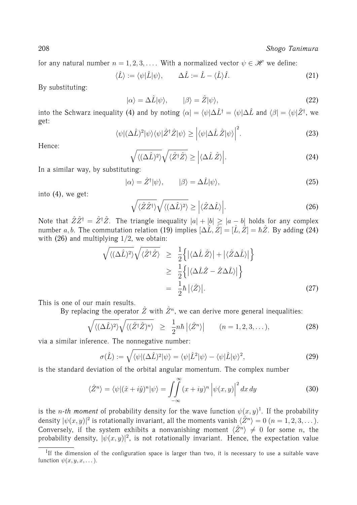for any natural number  $n = 1, 2, 3, \ldots$ . With a normalized vector  $\psi \in \mathcal{H}$  we define:

$$
\langle \hat{L} \rangle := \langle \psi | \hat{L} | \psi \rangle, \qquad \Delta \hat{L} := \hat{L} - \langle \hat{L} \rangle \hat{I}.
$$
 (21)

By substituting:

$$
|\alpha\rangle = \Delta \hat{L} |\psi\rangle, \qquad |\beta\rangle = \hat{Z} |\psi\rangle, \tag{22}
$$

into the Schwarz inequality (4) and by noting  $\langle\alpha|=\langle\psi|\Delta\hat{L}^{\dag}=\langle\psi|\Delta\hat{L}$  and  $\langle\beta|=\langle\psi|\hat{Z}^{\dag},$  we get:

$$
\langle \psi | (\Delta \hat{L})^2 | \psi \rangle \langle \psi | \hat{Z}^\dagger \hat{Z} | \psi \rangle \geq \left| \langle \psi | \Delta \hat{L} \hat{Z} | \psi \rangle \right|^2. \tag{23}
$$

Hence:

$$
\sqrt{\langle (\Delta \hat{L})^2 \rangle} \sqrt{\langle \hat{Z}^\dagger \hat{Z} \rangle} \ge \left| \langle \Delta \hat{L} \hat{Z} \rangle \right|.
$$
\n(24)

In a similar way, by substituting:

$$
|\alpha\rangle = \hat{Z}^{\dagger}|\psi\rangle, \qquad |\beta\rangle = \Delta \hat{L}|\psi\rangle, \tag{25}
$$

into (4), we get:

$$
\sqrt{\langle \hat{Z}\hat{Z}^{\dagger}\rangle}\sqrt{\langle (\Delta \hat{L})^2\rangle} \ge |\langle \hat{Z}\Delta \hat{L}\rangle|.
$$
\n(26)

Note that  $\hat{Z}\hat{Z}^{\dagger} = \hat{Z}^{\dagger}\hat{Z}$ . The triangle inequality  $|a| + |b| \geq |a-b|$  holds for any complex number a, b. The commutation relation (19) implies  $[\Delta \hat{L}, \hat{Z}] = [\hat{L}, \hat{Z}] = \hbar \hat{Z}$ . By adding (24) with  $(26)$  and multiplying  $1/2$ , we obtain:

$$
\sqrt{\langle (\Delta \hat{L})^2 \rangle} \sqrt{\langle \hat{Z}^\dagger \hat{Z} \rangle} \geq \frac{1}{2} \left\{ \left| \langle \Delta \hat{L} \hat{Z} \rangle \right| + \left| \langle \hat{Z} \Delta \hat{L} \rangle \right| \right\} \geq \frac{1}{2} \left\{ \left| \langle \Delta \hat{L} \hat{Z} - \hat{Z} \Delta \hat{L} \rangle \right| \right\} = \frac{1}{2} \hbar \left| \langle \hat{Z} \rangle \right|.
$$
 (27)

This is one of our main results.

By replacing the operator  $\hat{Z}$  with  $\hat{Z}^n$ , we can derive more general inequalities:

$$
\sqrt{\langle (\Delta \hat{L})^2 \rangle} \sqrt{\langle (\hat{Z}^\dagger \hat{Z})^n \rangle} \geq \frac{1}{2} n \hbar \left| \langle \hat{Z}^n \rangle \right| \qquad (n = 1, 2, 3, \dots), \tag{28}
$$

via a similar inference. The nonnegative number:

$$
\sigma(\hat{L}) := \sqrt{\langle \psi | (\Delta \hat{L})^2 | \psi \rangle} = \langle \psi | \hat{L}^2 | \psi \rangle - \langle \psi | \hat{L} | \psi \rangle^2, \tag{29}
$$

is the standard deviation of the orbital angular momentum. The complex number

$$
\langle \hat{Z}^n \rangle = \langle \psi | (\hat{x} + i\hat{y})^n | \psi \rangle = \iint_{-\infty}^{\infty} (x + iy)^n \left| \psi(x, y) \right|^2 dx dy \tag{30}
$$

is the *n-th moment* of probability density for the wave function  $\psi(x, y)$ <sup>1</sup>. If the probability density  $|\psi(x,y)|^2$  is rotationally invariant, all the moments vanish  $\langle \hat{Z}^n \rangle = 0$   $(n = 1, 2, 3, \dots).$ Conversely, if the system exhibits a nonvanishing moment  $\langle \hat{Z}^n \rangle \neq 0$  for some n, the probability density,  $|\psi(x, y)|^2$ , is not rotationally invariant. Hence, the expectation value

<sup>&</sup>lt;sup>1</sup>If the dimension of the configuration space is larger than two, it is necessary to use a suitable wave function  $\psi(x, y, x, \dots)$ .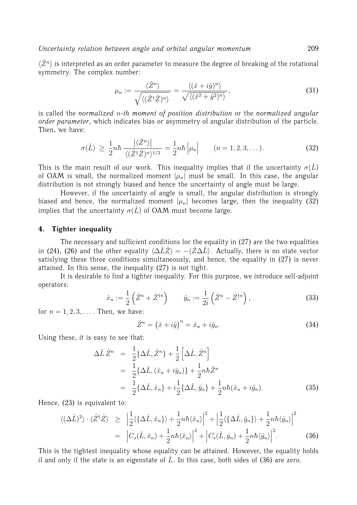$\langle \hat{Z}^n \rangle$  is interpreted as an order parameter to measure the degree of breaking of the rotational symmetry. The complex number:

$$
\mu_n := \frac{\langle \hat{Z}^n \rangle}{\sqrt{\langle (\hat{Z}^\dagger \hat{Z})^n \rangle}} = \frac{\langle (\hat{x} + i\hat{y})^n \rangle}{\sqrt{\langle (\hat{x}^2 + \hat{y}^2)^n \rangle}},\tag{31}
$$

is called the *normalized* n*-th moment of position distribution* or the *normalized angular order parameter*, which indicates bias or asymmetry of angular distribution of the particle. Then, we have:

$$
\sigma(\hat{L}) \ge \frac{1}{2}n\hbar \frac{\left|\langle\hat{Z}^n\rangle\right|}{\left\langle(\hat{Z}^\dagger\hat{Z})^n\rangle^{1/2}} = \frac{1}{2}n\hbar \left|\mu_n\right| \qquad (n = 1, 2, 3, \dots). \tag{32}
$$

This is the main result of our work. This inequality implies that if the uncertainty  $\sigma(\hat{L})$ of OAM is small, the normalized moment  $|\mu_n|$  must be small. In this case, the angular distribution is not strongly biased and hence the uncertainty of angle must be large.

However, if the uncertainty of angle is small, the angular distribution is strongly biased and hence, the normalized moment  $|\mu_n|$  becomes large, then the inequality (32) implies that the uncertainty  $\sigma(\hat{L})$  of OAM must become large.

## **4. Tighter inequality**

The necessary and sufficient conditions for the equality in (27) are the two equalities in (24), (26) and the other equality  $\langle \Delta \hat{L}\hat{Z}\rangle = -\langle \hat{Z}\Delta \hat{L}\rangle$ . Actually, there is no state vector satisfying these three conditions simultaneously, and hence, the equality in (27) is never attained. In this sense, the inequality (27) is not tight.

It is desirable to find a tighter inequality. For this purpose, we introduce self-adjoint operators:

$$
\hat{x}_n := \frac{1}{2} \left( \hat{Z}^n + \hat{Z}^{\dagger n} \right) \qquad \hat{y}_n := \frac{1}{2i} \left( \hat{Z}^n - \hat{Z}^{\dagger n} \right),\tag{33}
$$

for  $n = 1, 2, 3, \ldots$ . Then, we have:

$$
\hat{Z}^n = (\hat{x} + i\hat{y})^n = \hat{x}_n + i\hat{y}_n.
$$
\n(34)

Using these, it is easy to see that:

$$
\Delta \hat{L} \hat{Z}^n = \frac{1}{2} \{ \Delta \hat{L}, \hat{Z}^n \} + \frac{1}{2} \left[ \Delta \hat{L}, \hat{Z}^n \right] \n= \frac{1}{2} \{ \Delta \hat{L}, (\hat{x}_n + i\hat{y}_n) \} + \frac{1}{2} n \hbar \hat{Z}^n \n= \frac{1}{2} \{ \Delta \hat{L}, \hat{x}_n \} + i \frac{1}{2} \{ \Delta \hat{L}, \hat{y}_n \} + \frac{1}{2} n \hbar (\hat{x}_n + i\hat{y}_n).
$$
\n(35)

Hence, (23) is equivalent to:

$$
\langle (\Delta \hat{L})^2 \rangle \cdot \langle \hat{Z}^\dagger \hat{Z} \rangle \geq \left| \frac{1}{2} \langle \{ \Delta \hat{L}, \hat{x}_n \} \rangle + \frac{1}{2} n \hbar \langle \hat{x}_n \rangle \right|^2 + \left| \frac{1}{2} \langle \{ \Delta \hat{L}, \hat{y}_n \} \rangle + \frac{1}{2} n \hbar \langle \hat{y}_n \rangle \right|^2
$$
  

$$
= \left| C_s(\hat{L}, \hat{x}_n) + \frac{1}{2} n \hbar \langle \hat{x}_n \rangle \right|^2 + \left| C_s(\hat{L}, \hat{y}_n) + \frac{1}{2} n \hbar \langle \hat{y}_n \rangle \right|^2.
$$
 (36)

This is the tightest inequality whose equality can be attained. However, the equality holds if and only if the state is an eigenstate of  $\hat{L}$ . In this case, both sides of (36) are zero.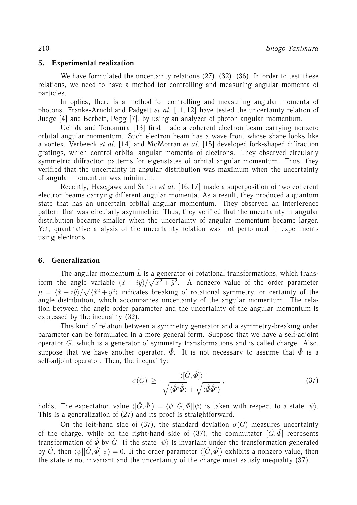# **5. Experimental realization**

We have formulated the uncertainty relations (27), (32), (36). In order to test these relations, we need to have a method for controlling and measuring angular momenta of particles.

In optics, there is a method for controlling and measuring angular momenta of photons. Franke-Arnold and Padgett *et al.* [11, 12] have tested the uncertainty relation of Judge [4] and Berbett, Pegg [7], by using an analyzer of photon angular momentum.

Uchida and Tonomura [13] first made a coherent electron beam carrying nonzero orbital angular momentum. Such electron beam has a wave front whose shape looks like a vortex. Verbeeck *et al.* [14] and McMorran *et al.* [15] developed fork-shaped diffraction gratings, which control orbital angular momenta of electrons. They observed circularly symmetric diffraction patterns for eigenstates of orbital angular momentum. Thus, they verified that the uncertainty in angular distribution was maximum when the uncertainty of angular momentum was minimum.

Recently, Hasegawa and Saitoh *et al.* [16, 17] made a superposition of two coherent electron beams carrying different angular momenta. As a result, they produced a quantum state that has an uncertain orbital angular momentum. They observed an interference pattern that was circularly asymmetric. Thus, they verified that the uncertainty in angular distribution became smaller when the uncertainty of angular momentum became larger. Yet, quantitative analysis of the uncertainty relation was not performed in experiments using electrons.

# **6. Generalization**

The angular momentum  $\hat{L}$  is a generator of rotational transformations, which transform the angle variable  $(\hat{x} + i\hat{y})/\sqrt{\hat{x}^2 + \hat{y}^2}$ . A nonzero value of the order parameter  $\mu\,=\,\langle\hat x + i\hat y\rangle/\sqrt{\langle\hat x^2 + \hat y^2\rangle}$  indicates breaking of rotational symmetry, or certainty of the angle distribution, which accompanies uncertainty of the angular momentum. The relation between the angle order parameter and the uncertainty of the angular momentum is expressed by the inequality (32).

This kind of relation between a symmetry generator and a symmetry-breaking order parameter can be formulated in a more general form. Suppose that we have a self-adjoint operator  $\hat{G}$ , which is a generator of symmetry transformations and is called charge. Also, suppose that we have another operator,  $\hat{\phi}$ . It is not necessary to assume that  $\hat{\phi}$  is a self-adjoint operator. Then, the inequality:

$$
\sigma(\hat{G}) \ge \frac{|\langle [\hat{G}, \hat{\Phi}] \rangle|}{\sqrt{\langle \hat{\Phi}^{\dagger} \hat{\Phi} \rangle} + \sqrt{\langle \hat{\Phi} \hat{\Phi}^{\dagger} \rangle}},\tag{37}
$$

holds. The expectation value  $\langle [\hat{G}, \hat{\Phi}] \rangle = \langle \psi | [\hat{G}, \hat{\Phi}] | \psi \rangle$  is taken with respect to a state  $|\psi\rangle$ . This is a generalization of (27) and its proof is straightforward.

On the left-hand side of (37), the standard deviation  $\sigma(\hat{G})$  measures uncertainty of the charge, while on the right-hand side of (37), the commutator  $[\hat{G}, \hat{\Phi}]$  represents transformation of  $\hat{\Phi}$  by  $\hat{G}$ . If the state  $|\psi\rangle$  is invariant under the transformation generated by  $\hat{G}$ , then  $\langle \psi | [\hat{G}, \hat{\Phi}] | \psi \rangle = 0$ . If the order parameter  $\langle [\hat{G}, \hat{\Phi}] \rangle$  exhibits a nonzero value, then the state is not invariant and the uncertainty of the charge must satisfy inequality (37).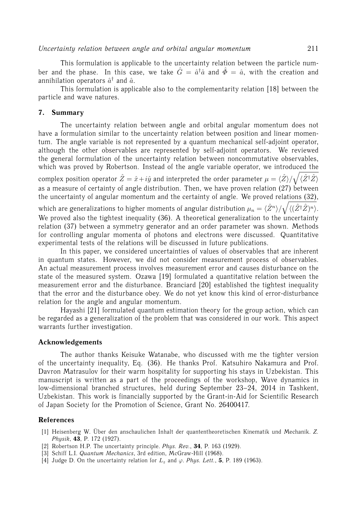This formulation is applicable to the uncertainty relation between the particle number and the phase. In this case, we take  $\hat{G} = \hat{a}^\dagger \hat{a}$  and  $\hat{\Phi} = \hat{a}$ , with the creation and annihilation operators  $\hat{a}^{\dagger}$  and  $\hat{a}$ .

This formulation is applicable also to the complementarity relation [18] between the particle and wave natures.

## **7. Summary**

The uncertainty relation between angle and orbital angular momentum does not have a formulation similar to the uncertainty relation between position and linear momentum. The angle variable is not represented by a quantum mechanical self-adjoint operator, although the other observables are represented by self-adjoint operators. We reviewed the general formulation of the uncertainty relation between noncommutative observables, which was proved by Robertson. Instead of the angle variable operator, we introduced the complex position operator  $\hat{Z} = \hat{x}+i\hat{y}$  and interpreted the order parameter  $\mu=\langle\hat{Z}\rangle/\sqrt{\langle\hat{Z}^\dagger\hat{Z}\rangle}$ as a measure of certainty of angle distribution. Then, we have proven relation  $(27)$  between the uncertainty of angular momentum and the certainty of angle. We proved relations (32),

which are generalizations to higher moments of angular distribution  $\mu_n = \langle \hat{Z}^n \rangle / \sqrt{\langle (\hat{Z}^\dagger \hat{Z})^n \rangle}.$ We proved also the tightest inequality (36). A theoretical generalization to the uncertainty relation (37) between a symmetry generator and an order parameter was shown. Methods for controlling angular momenta of photons and electrons were discussed. Quantitative experimental tests of the relations will be discussed in future publications.

In this paper, we considered uncertainties of values of observables that are inherent in quantum states. However, we did not consider measurement process of observables. An actual measurement process involves measurement error and causes disturbance on the state of the measured system. Ozawa [19] formulated a quantitative relation between the measurement error and the disturbance. Branciard [20] established the tightest inequality that the error and the disturbance obey. We do not yet know this kind of error-disturbance relation for the angle and angular momentum.

Hayashi [21] formulated quantum estimation theory for the group action, which can be regarded as a generalization of the problem that was considered in our work. This aspect warrants further investigation.

#### **Acknowledgements**

The author thanks Keisuke Watanabe, who discussed with me the tighter version of the uncertainty inequality, Eq. (36). He thanks Prof. Katsuhiro Nakamura and Prof. Davron Matrasulov for their warm hospitality for supporting his stays in Uzbekistan. This manuscript is written as a part of the proceedings of the workshop, Wave dynamics in low-dimensional branched structures, held during September 23–24, 2014 in Tashkent, Uzbekistan. This work is financially supported by the Grant-in-Aid for Scientific Research of Japan Society for the Promotion of Science, Grant No. 26400417.

#### **References**

- [1] Heisenberg W. Über den anschaulichen Inhalt der quantentheoretischen Kinematik und Mechanik. Z. *Physik*, **43**, P. 172 (1927).
- [2] Robertson H.P. The uncertainty principle. *Phys. Rev.*, **34**, P. 163 (1929).
- [3] Schiff L.I. *Quantum Mechanics*, 3rd edition, McGraw-Hill (1968).
- [4] Judge D. On the uncertainty relation for  $L_z$  and  $\varphi$ . *Phys. Lett.*, **5**, P. 189 (1963).